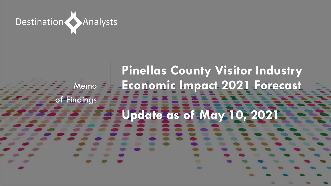

# **Pinellas County Visitor Industry Economic Impact 2021 Forecast Update as of May 10, 2021** Memo = of Findings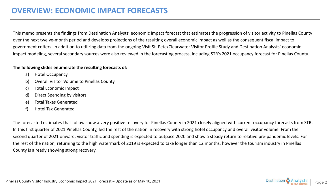This memo presents the findings from Destination Analysts' economic impact forecast that estimates the progression of visitor activity to Pinellas County over the next twelve-month period and develops projections of the resulting overall economic impact as well as the consequent fiscal impact to government coffers. In addition to utilizing data from the ongoing Visit St. Pete/Clearwater Visitor Profile Study and Destination Analysts' economic impact modeling, several secondary sources were also reviewed in the forecasting process, including STR's 2021 occupancy forecast for Pinellas County.

#### **The following slides enumerate the resulting forecasts of:**

- a) Hotel Occupancy
- b) Overall Visitor Volume to Pinellas County
- c) Total Economic Impact
- d) Direct Spending by visitors
- e) Total Taxes Generated
- f) Hotel Tax Generated

The forecasted estimates that follow show a very positive recovery for Pinellas County in 2021 closely aligned with current occupancy forecasts from STR. In this first quarter of 2021 Pinellas County, led the rest of the nation in recovery with strong hotel occupancy and overall visitor volume. From the second quarter of 2021 onward, visitor traffic and spending is expected to outpace 2020 and show a steady return to relative pre-pandemic levels. For the rest of the nation, returning to the high watermark of 2019 is expected to take longer than 12 months, however the tourism industry in Pinellas County is already showing strong recovery.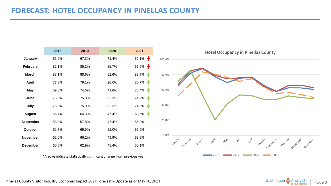# **FORECAST: HOTEL OCCUPANCY IN PINELLAS COUNTY**

|                  | 2018  | 2019  | 2020  | 2021                     |
|------------------|-------|-------|-------|--------------------------|
| January          | 65.0% | 67.3% | 71.4% | $52.1\%$                 |
| February         | 82.1% | 85.2% | 85.7% | 67.6% $\bigtriangledown$ |
| <b>March</b>     | 88.1% | 88.6% | 52.6% | 83.7%<br>A               |
| <b>April</b>     | 77.3% | 79.1% | 20.6% | 80.7%                    |
| <b>May</b>       | 69.6% | 74.6% | 41.6% | 76.4%                    |
| June             | 75.3% | 75.9% | 53.3% | 71.2%                    |
| July             | 76.8% | 75.9% | 52.3% | 74.8%                    |
| <b>August</b>    | 65.7% | 64.3% | 47.4% | 63.5% +                  |
| <b>September</b> | 58.0% | 57.8% | 47.4% | 55.3%                    |
| October          | 62.7% | 65.9% | 52.0% | 56.6%                    |
| November         | 62.6% | 66.2% | 49.9% | 53.9%                    |
| <b>December</b>  | 60.6% | 62.9% | 48.4% | 50.1%                    |

\*Arrows indicate statistically significant change from previous year



Pinellas County Visitor Industry Economic Impact 2021 Forecast – Update as of May 10, 2021 Page 3 Destination County Visitor Industry Economic Impact 2021 Forecast – Update as of May 10, 2021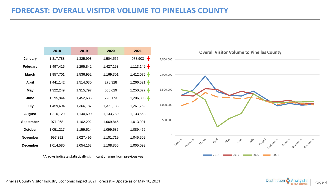## **FORECAST: OVERALL VISITOR VOLUME TO PINELLAS COUNTY**

|                  | 2018      | 2019      | 2020      | 2021                         |
|------------------|-----------|-----------|-----------|------------------------------|
| January          | 1,317,788 | 1,325,998 | 1,504,555 | ₩<br>978,903                 |
| <b>February</b>  | 1,497,416 | 1,295,842 | 1,427,153 | 1,113,149 $\bigtriangledown$ |
| <b>March</b>     | 1,957,701 | 1,536,952 | 1,169,301 | 1,412,075                    |
| <b>April</b>     | 1,441,142 | 1,514,030 | 278,328   | $1,266,521$ $\uparrow$       |
| May              | 1,322,249 | 1,315,797 | 556,629   | $1,250,077$ $\spadesuit$     |
| June             | 1,295,844 | 1,452,636 | 720,173   | 1,206,303                    |
| July             | 1,459,694 | 1,366,187 | 1,371,133 | 1,261,762                    |
| <b>August</b>    | 1,210,129 | 1,140,690 | 1,133,780 | 1,133,653                    |
| <b>September</b> | 971,268   | 1,102,292 | 1,069,845 | 1,013,901                    |
| October          | 1,051,217 | 1,159,524 | 1,099,685 | 1,089,456                    |
| <b>November</b>  | 997,392   | 1,027,496 | 1,101,719 | 1,045,509                    |
| <b>December</b>  | 1,014,580 | 1,054,163 | 1,108,856 | 1,005,093                    |

\*Arrows indicate statistically significant change from previous year



Pinellas County Visitor Industry Economic Impact 2021 Forecast – Update as of May 10, 2021 Page 1 Page 4 Destination Conservation Conservation Conservation Conservation Conservation Conservation Conservation Conservation C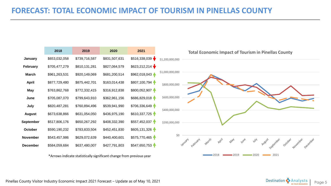# **FORECAST: TOTAL ECONOMIC IMPACT OF TOURISM IN PINELLAS COUNTY**



Pinellas County Visitor Industry Economic Impact 2021 Forecast – Update as of May 10, 2021 Page 1 Page 1 Page 5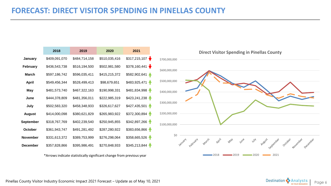### **FORECAST: DIRECT VISITOR SPENDING IN PINELLAS COUNTY**

|                  | 2018          | 2019          | 2020          | 2021          |   |
|------------------|---------------|---------------|---------------|---------------|---|
| <b>January</b>   | \$409,091,070 | \$484,714,158 | \$510,035,416 | \$317,215,107 |   |
| <b>February</b>  | \$436,543,738 | \$516,194,500 | \$502,981,580 | \$378,160,441 | ₩ |
| <b>March</b>     | \$597,186,742 | \$596,035,411 | \$415,215,372 | \$582,902,641 |   |
| <b>April</b>     | \$549,456,344 | \$528,499,413 | \$98,679,651  | \$483,925,471 |   |
| May              | \$481,573,740 | \$467,322,163 | \$190,998,331 | \$481,834,998 |   |
| June             | \$444,378,809 | \$481,356,011 | \$222,985,319 | \$423,241,238 |   |
| July             | \$502,583,320 | \$458,348,933 | \$326,617,627 | \$427,435,501 |   |
| <b>August</b>    | \$414,000,098 | \$380,621,829 | \$265,983,922 | \$372,300,894 |   |
| <b>September</b> | \$318,767,769 | \$402,239,540 | \$250,945,855 | \$342,897,266 |   |
| October          | \$361,943,747 | \$491,281,492 | \$287,280,922 | \$383,656,866 |   |
| <b>November</b>  | \$331,613,372 | \$389,753,999 | \$276,298,064 | \$358,665,526 |   |
| <b>December</b>  | \$357,828,866 | \$395,986,491 | \$270,848,933 | \$345,213,844 |   |

\*Arrows indicate statistically significant change from previous year



Pinellas County Visitor Industry Economic Impact 2021 Forecast – Update as of May 10, 2021 Page 1 Page 6 Page 6 Page 6 Page 6 Page 6 Page 6 Page 6 Page 6 Page 6 Page 6 Page 6 Page 6 Page 6 Page 6 Page 6 Page 6 Page 6 Page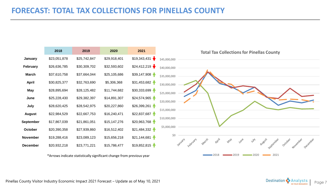# **FORECAST: TOTAL TAX COLLECTIONS FOR PINELLAS COUNTY**